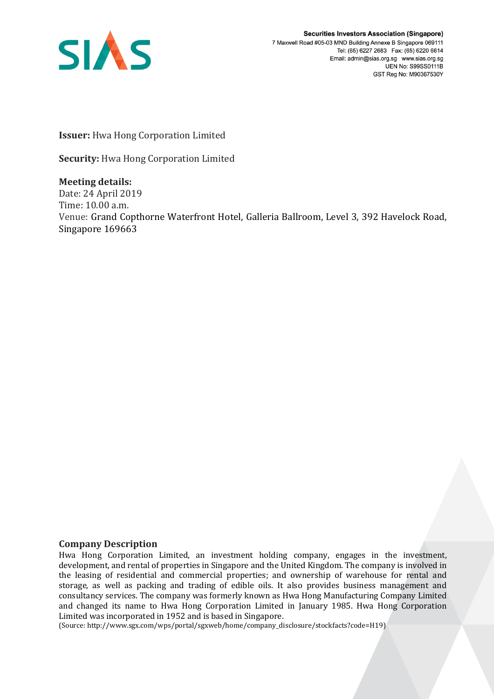

**Securities Investors Association (Singapore)** 7 Maxwell Road #05-03 MND Building Annexe B Singapore 069111 Tel: (65) 6227 2683 Fax: (65) 6220 6614 Email: admin@sias.org.sg www.sias.org.sg **UEN No: S99SS0111B** GST Reg No: M90367530Y

**Issuer:** Hwa Hong Corporation Limited

**Security:** Hwa Hong Corporation Limited

**Meeting details:**  Date: 24 April 2019 Time: 10.00 a.m. Venue: Grand Copthorne Waterfront Hotel, Galleria Ballroom, Level 3, 392 Havelock Road, Singapore 169663

## **Company Description**

Hwa Hong Corporation Limited, an investment holding company, engages in the investment, development, and rental of properties in Singapore and the United Kingdom. The company is involved in the leasing of residential and commercial properties; and ownership of warehouse for rental and storage, as well as packing and trading of edible oils. It also provides business management and consultancy services. The company was formerly known as Hwa Hong Manufacturing Company Limited and changed its name to Hwa Hong Corporation Limited in January 1985. Hwa Hong Corporation Limited was incorporated in 1952 and is based in Singapore.

(Source: http://www.sgx.com/wps/portal/sgxweb/home/company\_disclosure/stockfacts?code=H19)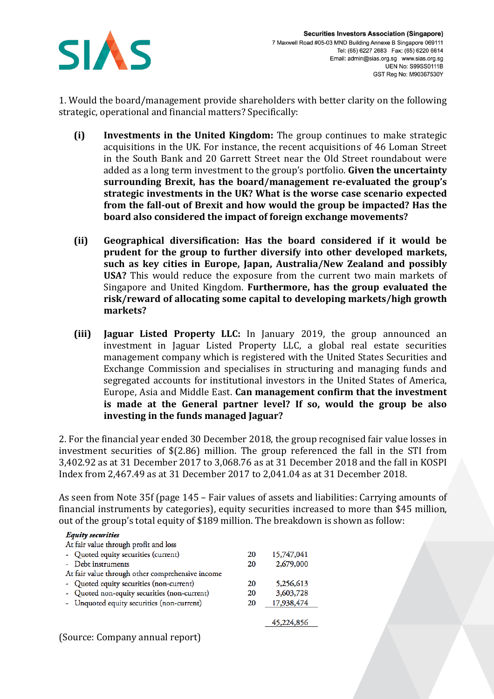

1. Would the board/management provide shareholders with better clarity on the following strategic, operational and financial matters? Specifically:

- **(i) Investments in the United Kingdom:** The group continues to make strategic acquisitions in the UK. For instance, the recent acquisitions of 46 Loman Street in the South Bank and 20 Garrett Street near the Old Street roundabout were added as a long term investment to the group's portfolio. **Given the uncertainty surrounding Brexit, has the board/management re-evaluated the group's strategic investments in the UK? What is the worse case scenario expected from the fall-out of Brexit and how would the group be impacted? Has the board also considered the impact of foreign exchange movements?**
- **(ii) Geographical diversification: Has the board considered if it would be prudent for the group to further diversify into other developed markets, such as key cities in Europe, Japan, Australia/New Zealand and possibly USA?** This would reduce the exposure from the current two main markets of Singapore and United Kingdom. **Furthermore, has the group evaluated the risk/reward of allocating some capital to developing markets/high growth markets?**
- **(iii) Jaguar Listed Property LLC:** In January 2019, the group announced an investment in Jaguar Listed Property LLC, a global real estate securities management company which is registered with the United States Securities and Exchange Commission and specialises in structuring and managing funds and segregated accounts for institutional investors in the United States of America, Europe, Asia and Middle East. **Can management confirm that the investment is made at the General partner level? If so, would the group be also investing in the funds managed Jaguar?**

2. For the financial year ended 30 December 2018, the group recognised fair value losses in investment securities of \$(2.86) million. The group referenced the fall in the STI from 3,402.92 as at 31 December 2017 to 3,068.76 as at 31 December 2018 and the fall in KOSPI Index from 2,467.49 as at 31 December 2017 to 2,041.04 as at 31 December 2018.

As seen from Note 35f (page 145 – Fair values of assets and liabilities: Carrying amounts of financial instruments by categories), equity securities increased to more than \$45 million, out of the group's total equity of \$189 million. The breakdown is shown as follow:

| <b>Equity securities</b>                         |    |            |
|--------------------------------------------------|----|------------|
| At fair value through profit and loss            |    |            |
| - Quoted equity securities (current)             | 20 | 15,747,041 |
| - Debt instruments                               | 20 | 2,679,000  |
| At fair value through other comprehensive income |    |            |
| Quoted equity securities (non-current)           | 20 | 5,256,613  |
| - Quoted non-equity securities (non-current)     | 20 | 3,603,728  |
| - Unquoted equity securities (non-current)       | 20 | 17,938,474 |
|                                                  |    |            |
|                                                  |    | 45.224,856 |
|                                                  |    |            |

(Source: Company annual report)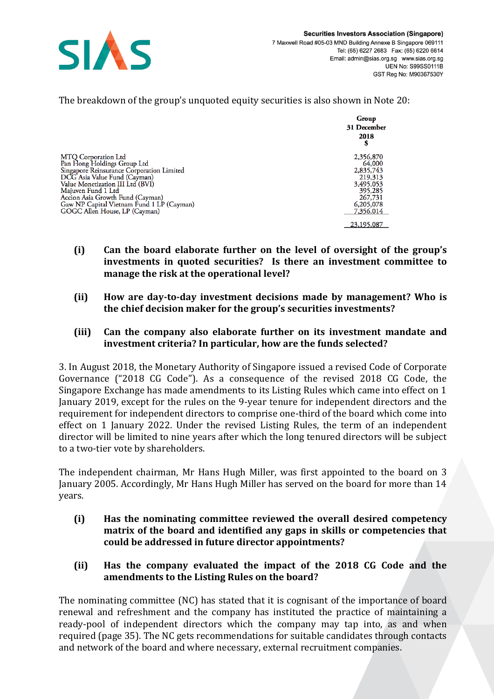

|                                                                                                                                                                                                                                                                                                                    | Group<br>31 December<br>2018<br>S                                                                        |
|--------------------------------------------------------------------------------------------------------------------------------------------------------------------------------------------------------------------------------------------------------------------------------------------------------------------|----------------------------------------------------------------------------------------------------------|
| <b>MTO Corporation Ltd</b><br>Pan Hong Holdings Group Ltd<br>Singapore Reinsurance Corporation Limited<br>DCG Asia Value Fund (Cayman)<br>Value Monetization III Ltd (BVI)<br>Majuven Fund 1 Ltd<br>Accion Asia Growth Fund (Cayman)<br>Gaw NP Capital Vietnam Fund 1 LP (Cayman)<br>GOGC Allen House, LP (Cayman) | 2,356,870<br>64,000<br>2,835,743<br>219,313<br>3,495,053<br>395,285<br>267,731<br>6,205,078<br>7,356,014 |
|                                                                                                                                                                                                                                                                                                                    | 23,195,087                                                                                               |

The breakdown of the group's unquoted equity securities is also shown in Note 20:

- **(i) Can the board elaborate further on the level of oversight of the group's investments in quoted securities? Is there an investment committee to manage the risk at the operational level?**
- **(ii) How are day-to-day investment decisions made by management? Who is the chief decision maker for the group's securities investments?**

## **(iii) Can the company also elaborate further on its investment mandate and investment criteria? In particular, how are the funds selected?**

3. In August 2018, the Monetary Authority of Singapore issued a revised Code of Corporate Governance ("2018 CG Code"). As a consequence of the revised 2018 CG Code, the Singapore Exchange has made amendments to its Listing Rules which came into effect on 1 January 2019, except for the rules on the 9-year tenure for independent directors and the requirement for independent directors to comprise one-third of the board which come into effect on 1 January 2022. Under the revised Listing Rules, the term of an independent director will be limited to nine years after which the long tenured directors will be subject to a two-tier vote by shareholders.

The independent chairman, Mr Hans Hugh Miller, was first appointed to the board on 3 January 2005. Accordingly, Mr Hans Hugh Miller has served on the board for more than 14 years.

- **(i) Has the nominating committee reviewed the overall desired competency matrix of the board and identified any gaps in skills or competencies that could be addressed in future director appointments?**
- **(ii) Has the company evaluated the impact of the 2018 CG Code and the amendments to the Listing Rules on the board?**

The nominating committee (NC) has stated that it is cognisant of the importance of board renewal and refreshment and the company has instituted the practice of maintaining a ready-pool of independent directors which the company may tap into, as and when required (page 35). The NC gets recommendations for suitable candidates through contacts and network of the board and where necessary, external recruitment companies.